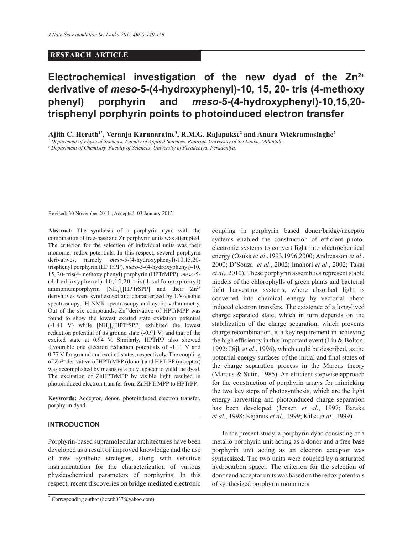## **RESEARCH ARTICLE**

# **Electrochemical investigation of the new dyad of the Zn2+ derivative of** *meso***-5-(4-hydroxyphenyl)-10, 15, 20- tris (4-methoxy phenyl) porphyrin and** *meso***-5-(4-hydroxyphenyl)-10,15,20 trisphenyl porphyrin points to photoinduced electron transfer**

**Ajith C. Herath1\* , Veranja Karunaratne<sup>2</sup> , R.M.G. Rajapakse<sup>2</sup> and Anura Wickramasinghe<sup>2</sup>**

*1 Department of Physical Sciences, Faculty of Applied Sciences, Rajarata University of Sri Lanka, Mihintale.*

*2 Department of Chemistry, Faculty of Sciences, University of Peradeniya, Peradeniya.*

Revised: 30 November 2011 ; Accepted: 03 January 2012

**Abstract:** The synthesis of a porphyrin dyad with the combination of free-base and Zn porphyrin units was attempted. The criterion for the selection of individual units was their monomer redox potentials. In this respect, several porphyrin derivatives, namely *meso*-5-(4-hydroxyphenyl)-10,15,20 trisphenyl porphyrin (HPTrPP), *meso*-5-(4-hydroxyphenyl)-10, 15, 20- tris(4-methoxy phenyl) porphyrin (HPTrMPP), *meso*-5- (4-hydroxyphenyl)-10,15,20-tris(4-sulfonatophenyl) ammoniumporphyrin  $[NH_4]_3[HPTrSPP]$  and their  $Zn^{2+}$ derivatives were synthesized and characterized by UV-visible spectroscopy, <sup>1</sup>H NMR spectroscopy and cyclic voltammetry. Out of the six compounds,  $Zn^{2+}$ derivative of HPTrMPP was found to show the lowest excited state oxidation potential  $(-1.41 \text{ V})$  while  $[NH_4]_3[HPTrSPP]$  exhibited the lowest reduction potential of its ground state (-0.91 V) and that of the excited state at 0.94 V. Similarly, HPTrPP also showed favourable one electron reduction potentials of -1.11 V and 0.77 V for ground and excited states, respectively. The coupling of Zn2+ derivative of HPTrMPP (donor) and HPTrPP (acceptor) was accomplished by means of a butyl spacer to yield the dyad. The excitation of ZnHPTrMPP by visible light resulted in photoinduced electron transfer from ZnHPTrMPP to HPTrPP.

**Keywords:** Acceptor, donor, photoinduced electron transfer, porphyrin dyad.

## **INTRODUCTION**

Porphyrin-based supramolecular architectures have been developed as a result of improved knowledge and the use of new synthetic strategies, along with sensitive instrumentation for the characterization of various physicochemical parameters of porphyrins. In this respect, recent discoveries on bridge mediated electronic

coupling in porphyrin based donor/bridge/acceptor systems enabled the construction of efficient photoelectronic systems to convert light into electrochemical energy (Osuka *et al*.,1993,1996,2000; Andreasson *et al*., 2000; D'Souza *et al*., 2002; Imahori *et al*., 2002; Takai *et al*., 2010). These porphyrin assemblies represent stable models of the chlorophylls of green plants and bacterial light harvesting systems, where absorbed light is converted into chemical energy by vectorial photo induced electron transfers. The existence of a long-lived charge separated state, which in turn depends on the stabilization of the charge separation, which prevents charge recombination, is a key requirement in achieving the high efficiency in this important event (Liu & Bolton, 1992: Dijk *et al*., 1996), which could be described, as the potential energy surfaces of the initial and final states of the charge separation process in the Marcus theory (Marcus & Sutin, 1985). An efficient stepwise approach for the construction of porphyrin arrays for mimicking the two key steps of photosynthesis, which are the light energy harvesting and photoinduced charge separation has been developed (Jensen *et al*., 1997; Baraka *et al*., 1998; Kajanus *et al*., 1999; Kilsa *et al*., 1999).

 In the present study, a porphyrin dyad consisting of a metallo porphyrin unit acting as a donor and a free base porphyrin unit acting as an electron acceptor was synthesized. The two units were coupled by a saturated hydrocarbon spacer. The criterion for the selection of donor and acceptor units was based on the redox potentials of synthesized porphyrin monomers.

<sup>\*</sup> Corresponding author (herath037@yahoo.com)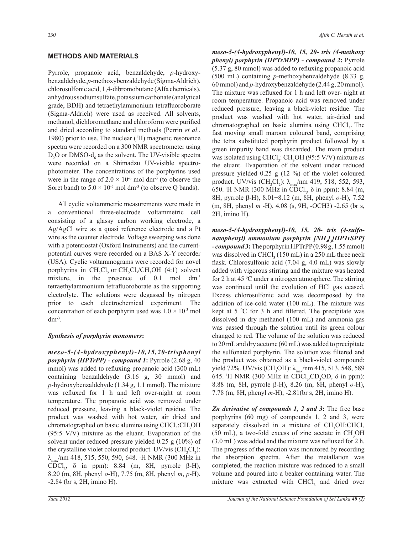# **METHODS AND MATERIALS**

Pyrrole, propanoic acid, benzaldehyde, *p*-hydroxybenzaldehyde, *p*-methoxybenzaldehyde (Sigma-Aldrich), chlorosulfonic acid, 1,4-dibromobutane (Alfa chemicals), anhydrous sodiumsulfate, potassium carbonate (analytical grade, BDH) and tetraethylammonium tetrafluoroborate (Sigma-Aldrich) were used as received. All solvents, methanol, dichloromethane and chloroform were purified and dried according to standard methods (Perrin *et al*., 1980) prior to use. The nuclear (<sup>1</sup>H) magnetic resonance spectra were recorded on a 300 NMR spectrometer using  $D_2O$  or DMSO- $d_6$  as the solvent. The UV-visible spectra were recorded on a Shimadzu UV-visible spectrophotometer. The concentrations of the porphyrins used were in the range of  $2.0 \times 10^{-6}$  mol dm<sup>-3</sup> (to observe the Soret band) to  $5.0 \times 10^{-5}$  mol dm<sup>-3</sup> (to observe Q bands).

 All cyclic voltammetric measurements were made in a conventional three-electrode voltammetric cell consisting of a glassy carbon working electrode, a Ag/AgCl wire as a quasi reference electrode and a Pt wire as the counter electrode. Voltage sweeping was done with a potentiostat (Oxford Instruments) and the currentpotential curves were recorded on a BAS X-Y recorder (USA). Cyclic voltammograms were recorded for novel porphyrins in  $CH_2Cl_2$  or  $CH_2Cl_2/CH_3OH$  (4:1) solvent mixture, in the presence of 0.1 mol dm<sup>-3</sup> tetraethylammonium tetrafluoroborate as the supporting electrolyte. The solutions were degassed by nitrogen prior to each electrochemical experiment. The concentration of each porphyrin used was  $1.0 \times 10^{-3}$  mol  $dm^{-3}$ .

# *Synthesis of porphyrin monomers***:**

*meso-5-(4-hydroxyphenyl)-10,15,20-trisphenyl porphyrin (HPTrPP) - compound 1***:** Pyrrole (2.68 g, 40 mmol) was added to refluxing propanoic acid (300 mL) containing benzaldehyde (3.16 g, 30 mmol) and *p*-hydroxybenzaldehyde (1.34 g, 1.1 mmol). The mixture was refluxed for 1 h and left over-night at room temperature. The propanoic acid was removed under reduced pressure, leaving a black-violet residue. The product was washed with hot water, air dried and chromatographed on basic alumina using CHCl<sub>3</sub>:CH<sub>3</sub>OH (95:5 V/V) mixture as the eluant. Evaporation of the solvent under reduced pressure yielded 0.25 g (10%) of the crystalline violet coloured product. UV/vis  $(CH_2Cl_2)$ : λ<sub>max</sub>/nm 418, 515, 550, 590, 648. <sup>1</sup>H NMR (300 MHz in CDCl<sub>3</sub>,  $\delta$  in ppm): 8.84 (m, 8H, pyrrole  $\beta$ -H), 8.20 (m, 8H, phenyl *o*-H), 7.75 (m, 8H, phenyl *m*, *p*-H), -2.84 (br s, 2H, imino H).

*meso-5-(4-hydroxyphenyl)-10, 15, 20- tris (4-methoxy phenyl) porphyrin (HPTrMPP) - compound 2***:** Pyrrole (5.37 g, 80 mmol) was added to refluxing propanoic acid (500 mL) containing *p*-methoxybenzaldehyde (8.33 g, 60 mmol) and *p*-hydroxybenzaldehyde (2.44 g, 20 mmol). The mixture was refluxed for 1 h and left over- night at room temperature. Propanoic acid was removed under reduced pressure, leaving a black-violet residue. The product was washed with hot water, air-dried and chromatographed on basic alumina using CHCl<sub>3</sub>. The fast moving small maroon coloured band, comprising the tetra substituted porphyrin product followed by a green impurity band was discarded. The main product was isolated using  $CHCl<sub>3</sub>$ :  $CH<sub>3</sub>OH$  (95:5 V/V) mixture as the eluant. Evaporation of the solvent under reduced pressure yielded 0.25 g (12 %) of the violet coloured product. UV/vis  $(CH_2Cl_2)$ :  $\lambda_{\text{max}}$ /nm 419, 518, 552, 593, 650. <sup>1</sup>H NMR (300 MHz in CDCl<sub>3</sub>,  $\delta$  in ppm): 8.84 (m, 8H, pyrrole β-H), 8.01−8.12 (m, 8H, phenyl *o*-H), 7.52 (m, 8H, phenyl *m* -H), 4.08 (s, 9H, -OCH3) -2.65 (br s, 2H, imino H).

*meso-5-(4-hydroxyphenyl)-10, 15, 20- tris (4-sulfonatophenyl) ammonium porphyrin [NH<sup>4</sup> ] 3 [HPTrSPP] - compound 3***:** The porphyrin HPTrPP (0.98 g, 1.55 mmol) was dissolved in  $CHCl<sub>3</sub>$  (150 mL) in a 250 mL three neck flask. Chlorosulfonic acid (7.04 g, 4.0 mL) was slowly added with vigorous stirring and the mixture was heated for 2 h at 45  $\degree$ C under a nitrogen atmosphere. The stirring was continued until the evolution of HCl gas ceased. Excess chlorosulfonic acid was decomposed by the addition of ice-cold water (100 mL). The mixture was kept at  $5 \,^{\circ}\text{C}$  for 3 h and filtered. The precipitate was dissolved in dry methanol (100 mL) and ammonia gas was passed through the solution until its green colour changed to red. The volume of the solution was reduced to 20 mL and dry acetone (60 mL) was added to precipitate the sulfonated porphyrin. The solution was filtered and the product was obtained as a black-violet compound: yield 72%. UV/vis (CH<sub>3</sub>OH):  $λ_{max}$ /nm 415, 513, 548, 589 645. <sup>1</sup>H NMR (300 MHz in CDCl<sub>3</sub>CD<sub>3</sub>OD,  $\delta$  in ppm): 8.88 (m, 8H, pyrrole β-H), 8.26 (m, 8H, phenyl *o*-H), 7.78 (m, 8H, phenyl *m*-H), -2.81(br s, 2H, imino H).

*Zn derivative of compounds 1, 2 and 3***:** The free base porphyrins (60 mg) of compounds 1, 2 and 3, were separately dissolved in a mixture of CH<sub>3</sub>OH:CHCl<sub>3</sub>  $(50 \text{ mL})$ , a two-fold excess of zinc acetate in CH<sub>3</sub>OH (3.0 mL) was added and the mixture was refluxed for 2 h. The progress of the reaction was monitored by recording the absorption spectra. After the metallation was completed, the reaction mixture was reduced to a small volume and poured into a beaker containing water. The mixture was extracted with  $CHCl<sub>3</sub>$  and dried over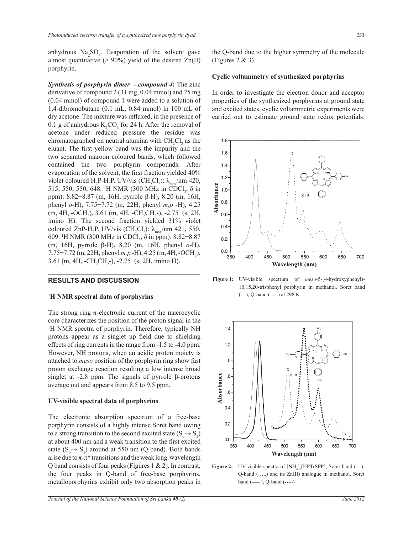anhydrous  $\text{Na}_2\text{SO}_4$ . Evaporation of the solvent gave almost quantitative  $(> 90\%)$  yield of the desired Zn(II) porphyrin.

*Synthesis of porphyrin dimer - compound 4***:** The zinc derivative of compound 2 (31 mg, 0.04 mmol) and 25 mg (0.04 mmol) of compound 1 were added to a solution of 1,4-dibromobutane (0.1 mL, 0.84 mmol) in 100 mL of dry acetone. The mixture was refluxed, in the presence of 0.1 g of anhydrous  $K_2CO_3$  for 24 h. After the removal of acetone under reduced pressure the residue was chromatographed on neutral alumina with  $CH_2Cl_2$  as the eluant. The first yellow band was the impurity and the two separated maroon coloured bands, which followed contained the two porphyrin compounds. After evaporation of the solvent, the first fraction yielded 40% violet coloured  $H_2P-H_2P$ . UV/vis (CH<sub>2</sub>Cl<sub>2</sub>):  $\lambda_{\text{max}}/nm$  420, 515, 550, 550, 648. <sup>1</sup>H NMR (300 MHz in CDCl<sub>3</sub>, δ in ppm): 8.82−8.87 (m, 16H, pyrrole β-H), 8.20 (m, 16H, phenyl *o*-H), 7.75−7.72 (m, 22H, phenyl *m,p* -H), 4.25  $(m, 4H, -OCH_2), 3.61$   $(m, 4H, -CH_2CH_2-)$ ,  $-2.75$   $(s, 2H,$ imino H). The second fraction yielded 31% violet coloured ZnP-H<sub>2</sub>P. UV/vis (CH<sub>2</sub>Cl<sub>2</sub>):  $\lambda_{\text{max}}$ /nm 421, 550, 609. <sup>1</sup>H NMR (300 MHz in CDCl<sub>3</sub>, δ in ppm): 8.82–8.87 (m, 16H, pyrrole β-H), 8.20 (m, 16H, phenyl *o*-H), 7.75–7.72 (m, 22H, phenyl *m,p* -H), 4.25 (m, 4H, -OCH<sub>2</sub>), 3.61 (m, 4H, -CH<sub>2</sub>CH<sub>2</sub>-), -2.75 (s, 2H, imino H).

# **RESULTS AND DISCUSSION**

#### **<sup>1</sup>H NMR spectral data of porphyrins**

The strong ring  $\pi$ -electronic current of the macrocyclic core characterizes the position of the proton signal in the <sup>1</sup>H NMR spectra of porphyrin. Therefore, typically NH protons appear as a singlet up field due to shielding effects of ring currents in the range from -1.5 to -4.0 ppm. However, NH protons, when an acidic proton moiety is attached to *meso* position of the porphyrin ring show fast proton exchange reaction resulting a low intense broad singlet at -2.8 ppm. The signals of pyrrole β-protons average out and appears from 8.5 to 9.5 ppm.

## **UV-visible spectral data of porphyrins**

The electronic absorption spectrum of a free-base porphyrin consists of a highly intense Soret band owing to a strong transition to the second excited state  $(S_0 \rightarrow S_2)$ at about 400 nm and a weak transition to the first excited state  $(S_0 \rightarrow S_1)$  around at 550 nm (Q-band). Both bands arise due to  $\pi$ - $\pi$ <sup>\*</sup> transitions and the weak long-wavelength Q band consists of four peaks (Figures 1 & 2). In contrast, the four peaks in Q-band of free-base porphyrins, metalloporphyrins exhibit only two absorption peaks in

the Q-band due to the higher symmetry of the molecule (Figures  $2 \& 3$ ).

#### **Cyclic voltammetry of synthesized porphyrins**

In order to investigate the electron donor and acceptor properties of the synthesized porphyrins at ground state and excited states, cyclic voltammetric experiments were carried out to estimate ground state redox potentials.



**Figure 1:** UV-visible spectrum of *meso*-5-(4-hydroxyphenyl)- 10,15,20-trisphenyl porphyrin in methanol. Soret band (—), Q-band (…..) at 298 K



**Figure 2:** UV-visible spectra of  $[NH_4]_3[HPTrSPP]$ , Soret band  $(-)$ , Q-band (…..) and its Zn(II) analogue in methanol, Soret band (**—** ), Q-band (**…..**)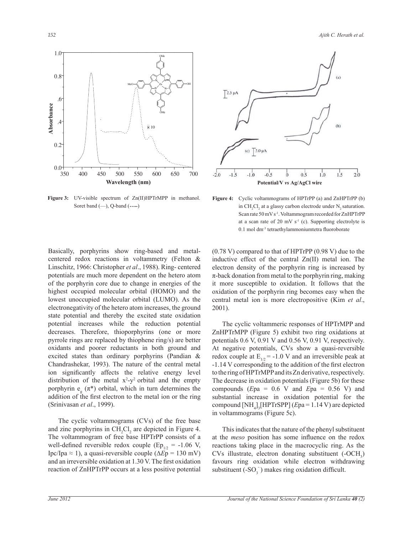**Figure 3:** UV-visible spectrum of Zn(II)HPTrMPP in methanol. Soret band (—), Q-band (**…..**)

Basically, porphyrins show ring-based and metal-



 The cyclic voltammeric responses of HPTrMPP and ZnHPTrMPP (Figure 5) exhibit two ring oxidations at potentials 0.6 V, 0.91 V and 0.56 V, 0.91 V, respectively. At negative potentials, CVs show a quasi-reversible redox couple at  $E_{1/2}$  = -1.0 V and an irreversible peak at -1.14 V corresponding to the addition of the first electron to the ring of HPTrMPP and its Zn derivative, respectively. The decrease in oxidation potentials (Figure 5b) for these compounds (*E*pa = 0.6 V and *E*pa = 0.56 V) and substantial increase in oxidation potential for the compound [NH<sup>4</sup> ] 3 [HPTrSPP] (*E*pa = 1.14 V) are depicted in voltammograms (Figure 5c).

 This indicates that the nature of the phenyl substituent at the *meso* position has some influence on the redox reactions taking place in the macrocyclic ring. As the CVs illustrate, electron donating substituent  $(-OCH<sub>3</sub>)$ favours ring oxidation while electron withdrawing substituent  $(-SO_3^-)$  makes ring oxidation difficult.

(Srinivasan *et al*., 1999).

 The cyclic voltammograms (CVs) of the free base and zinc porphyrins in  $CH_2Cl_2$  are depicted in Figure 4. The voltammogram of free base HPTrPP consists of a well-defined reversible redox couple (Ep<sub>1/2</sub> = -1.06 V, Ipc/Ipa ≈ 1), a quasi-reversible couple (∆*E*p = 130 mV) and an irreversible oxidation at 1.30 V. The first oxidation reaction of ZnHPTrPP occurs at a less positive potential







**Figure 4:** Cyclic voltammograms of HPTrPP (a) and ZnHPTrPP (b)

in  $CH_2Cl_2$  at a glassy carbon electrode under N<sub>2</sub> saturation. Scan rate 50 mV s-1. Voltammogram recorded for ZnHPTrPP at a scan rate of 20 mV  $s^{-1}$  (c). Supporting electrolyte is 0.1 mol dm-3 tetraethylammoniumtetra fluoroborate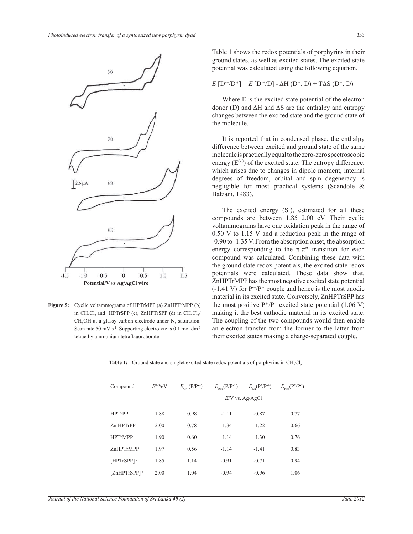

**Figure 5:** Cyclic voltammograms of HPTrMPP (a) ZnHPTrMPP (b) in  $CH_2Cl_2$  and HPTrSPP (c), ZnHPTrSPP (d) in  $CH_2Cl_2$  $CH<sub>3</sub>OH$  at a glassy carbon electrode under  $N<sub>2</sub>$  saturation. Scan rate 50 mV s<sup>-1</sup>. Supporting electrolyte is 0.1 mol dm<sup>-3</sup> tetraethylammonium tetraflauoroborate

Table 1 shows the redox potentials of porphyrins in their ground states, as well as excited states. The excited state potential was calculated using the following equation.

$$
E[D^{+}/D^{*}] = E[D^{+}/D] - \Delta H(D^{*}, D) + T\Delta S(D^{*}, D)
$$

 Where E is the excited state potential of the electron donor (D) and ∆H and ∆S are the enthalpy and entropy changes between the excited state and the ground state of the molecule.

 It is reported that in condensed phase, the enthalpy difference between excited and ground state of the same molecule is practically equal to the zero-zero spectroscopic energy  $(E^{0-0})$  of the excited state. The entropy difference, which arises due to changes in dipole moment, internal degrees of freedom, orbital and spin degeneracy is negligible for most practical systems (Scandole & Balzani, 1983).

The excited energy  $(S_1)$ , estimated for all these compounds are between 1.85−2.00 eV. Their cyclic voltammograms have one oxidation peak in the range of 0.50 V to 1.15 V and a reduction peak in the range of -0.90 to -1.35 V. From the absorption onset, the absorption energy corresponding to the  $\pi$ - $\pi$ <sup>\*</sup> transition for each compound was calculated. Combining these data with the ground state redox potentials, the excited state redox potentials were calculated. These data show that, ZnHPTrMPP has the most negative excited state potential  $(-1.41 \text{ V})$  for  $P^{\ast}/P^*$  couple and hence is the most anodic material in its excited state. Conversely, ZnHPTrSPP has the most positive  $P^* / P^-$  excited state potential (1.06 V) making it the best cathodic material in its excited state. The coupling of the two compounds would then enable an electron transfer from the former to the latter from their excited states making a charge-separated couple.

| Compound                    | $E^{0.0}/eV$ | $E_{\alpha}$ (P/P <sup>++</sup> ) | $E_{p,d}(P/P^{\dagger})$ | $E_{\rm ox}(P^* / P^{**})$ | $E_{\text{Red}}(\text{P}^*\text{/}P^{\bullet})$ |
|-----------------------------|--------------|-----------------------------------|--------------------------|----------------------------|-------------------------------------------------|
|                             |              |                                   | $E/V$ vs. Ag/AgCl        |                            |                                                 |
| <b>HPTrPP</b>               | 1.88         | 0.98                              | $-1.11$                  | $-0.87$                    | 0.77                                            |
| Zn HPTrPP                   | 2.00         | 0.78                              | $-1.34$                  | $-1.22$                    | 0.66                                            |
| <b>HPTrMPP</b>              | 1.90         | 0.60                              | $-1.14$                  | $-1.30$                    | 0.76                                            |
| ZnHPTrMPP                   | 1.97         | 0.56                              | $-1.14$                  | $-1.41$                    | 0.83                                            |
| $[HPTrSPP]$ <sup>3-</sup>   | 1.85         | 1.14                              | $-0.91$                  | $-0.71$                    | 0.94                                            |
| $[ZnHPTrSPP]$ <sup>3-</sup> | 2.00         | 1.04                              | $-0.94$                  | $-0.96$                    | 1.06                                            |

Table 1: Ground state and singlet excited state redox potentials of porphyrins in CH<sub>2</sub>Cl<sub>2</sub>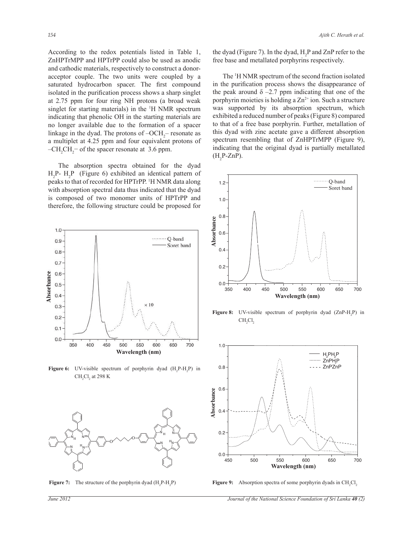According to the redox potentials listed in Table 1, ZnHPTrMPP and HPTrPP could also be used as anodic and cathodic materials, respectively to construct a donoracceptor couple. The two units were coupled by a saturated hydrocarbon spacer. The first compound isolated in the purification process shows a sharp singlet at 2.75 ppm for four ring NH protons (a broad weak singlet for starting materials) in the <sup>1</sup>H NMR spectrum indicating that phenolic OH in the starting materials are no longer available due to the formation of a spacer linkage in the dyad. The protons of  $-OCH_2$ – resonate as a multiplet at 4.25 ppm and four equivalent protons of  $-CH_2CH_2$  of the spacer resonate at 3.6 ppm.

 The absorption spectra obtained for the dyad  $H_2P$ -  $H_2P$  (Figure 6) exhibited an identical pattern of peaks to that of recorded for HPTrPP. <sup>1</sup>H NMR data along with absorption spectral data thus indicated that the dyad is composed of two monomer units of HPTrPP and therefore, the following structure could be proposed for



**Figure 6:** UV-visible spectrum of porphyrin dyad  $(H_2P-H_2P)$  in  $\rm CH_{2}Cl_{2}$  at 298 K



**Figure 7:** The structure of the porphyrin dyad  $(H_2P-H_2P)$ 

the dyad (Figure 7). In the dyad,  $H_2P$  and  $ZnP$  refer to the free base and metallated porphyrins respectively.

 The <sup>1</sup>H NMR spectrum of the second fraction isolated in the purification process shows the disappearance of the peak around  $\delta$  –2.7 ppm indicating that one of the porphyrin moieties is holding a  $Zn^{2+}$  ion. Such a structure was supported by its absorption spectrum, which exhibited a reduced number of peaks (Figure 8) compared to that of a free base porphyrin. Further, metallation of this dyad with zinc acetate gave a different absorption spectrum resembling that of ZnHPTrMPP (Figure 9), indicating that the original dyad is partially metallated  $(H_2P-ZnP)$ .



**Figure 8:** UV-visible spectrum of porphyrin dyad  $(ZnP-H_2P)$  in CH<sub>2</sub>Cl<sub>2</sub>



Figure 9: Absorption spectra of some porphyrin dyads in CH<sub>2</sub>Cl<sub>2</sub>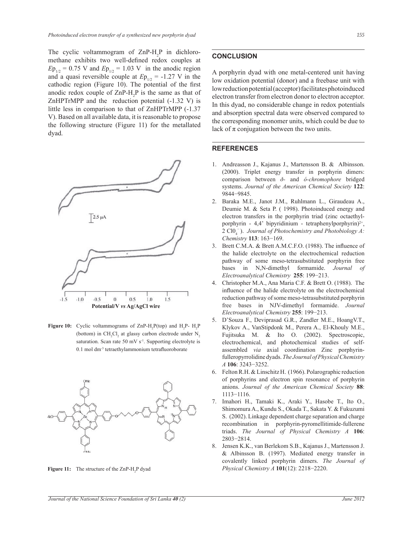The cyclic voltammogram of  $\text{ZnP-H}_2\text{P}$  in dichloromethane exhibits two well-defined redox couples at  $Ep_{1/2} = 0.75$  V and  $Ep_{1/2} = 1.03$  V in the anodic region and a quasi reversible couple at  $Ep_{1/2} = -1.27$  V in the cathodic region (Figure 10). The potential of the first anodic redox couple of  $\text{ZnP-H}_2\text{P}$  is the same as that of ZnHPTrMPP and the reduction potential (-1.32 V) is little less in comparison to that of ZnHPTrMPP (-1.37 V). Based on all available data, it is reasonable to propose the following structure (Figure 11) for the metallated dyad.



**Figure 10:** Cyclic voltammograms of  $\text{ZnP-H}_2\text{P}(\text{top})$  and  $\text{H}_2\text{P-H}_2\text{P}$ (bottom) in  $CH_2Cl_2$  at glassy carbon electrode under  $N_2$ saturation. Scan rate 50 mV s<sup>-1</sup>. Supporting electrolyte is 0.1 mol dm-3 tetraethylammonium tetrafluoroborate



# **CONCLUSION**

A porphyrin dyad with one metal-centered unit having low oxidation potential (donor) and a freebase unit with low reduction potential (acceptor) facilitates photoinduced electron transfer from electron donor to electron acceptor. In this dyad, no considerable change in redox potentials and absorption spectral data were observed compared to the corresponding monomer units, which could be due to lack of  $\pi$  conjugation between the two units.

## **REFERENCES**

- 1. Andreasson J., Kajanus J., Martensson B. & Albinsson. (2000). Triplet energy transfer in porphyrin dimers: comparison between *ð-* and *ó-chromophore* bridged systems. *Journal of the American Chemical Society* **122**: 9844−9845.
- 2. Baraka M.E., Janot J.M., Ruhlmann L., Giraudeau A., Deumie M. & Seta P. ( 1998). Photoinduced energy and electron transfers in the porphyrin triad (zinc octaethylporphyrin -  $4,4$ ' bipyridinium - tetraphenylporphyrin)<sup>2+</sup>, 2  $ClO<sub>4</sub><sup>-</sup>$ ). *Journal of Photochemistry and Photobiology A: Chemistry* **113**: 163−169.
- 3. Brett C.M.A. & Brett A.M.C.F.O. (1988). The influence of the halide electrolyte on the electrochemical reduction pathway of some meso-tetrasubstituted porphyrin free bases in N,N-dimethyl formamide. *Journal of Electroanalytical Chemistry* **255**: 199−213.
- 4. Christopher M.A., Ana Maria C.F. & Brett O. (1988). The influence of the halide electrolyte on the electrochemical reduction pathway of some meso-tetrasubstituted porphyrin free bases in NJV-dimethyl formamide. *Journal Electroanalytical Chemistry* **255**: 199−213.
- 5. D'Souza F., Deviprasad G.R., Zandler M.E., HoangV.T., Klykov A., VanStipdonk M., Perera A., El-Khouly M.E., Fujitsuka M. & Ito O. (2002). Spectroscopic, electrochemical, and photochemical studies of selfassembled *via* axial coordination Zinc porphyrinfulleropyrrolidine dyads. *The Journal of Physical Chemistry A* **106**: 3243−3252.
- 6. Felton R.H. & Linschitz H. (1966). Polarographic reduction of porphyrins and electron spin resonance of porphyrin anions. *Journal of the American Chemical Society* **88**: 1113−1116.
- 7. Imahori H., Tamaki K., Araki Y., Hasobe T., Ito O., Shimomura A., Kundu S., Okada T., Sakata Y. & Fukuzumi S. (2002). Linkage dependent charge separation and charge recombination in porphyrin-pyromellitimide-fullerene triads. *The Journal of Physical Chemistry A* **106**: 2803−2814.
- 8. Jensen K.K., van Berlekom S.B., Kajanus J., Martensson J. & Albinsson B. (1997). Mediated energy transfer in covalently linked porphyrin dimers. *The Journal of*  **Figure 11:** The structure of the ZnP-H<sub>2</sub>P dyad *Physical Chemistry A* **101**(12): 2218–2220.